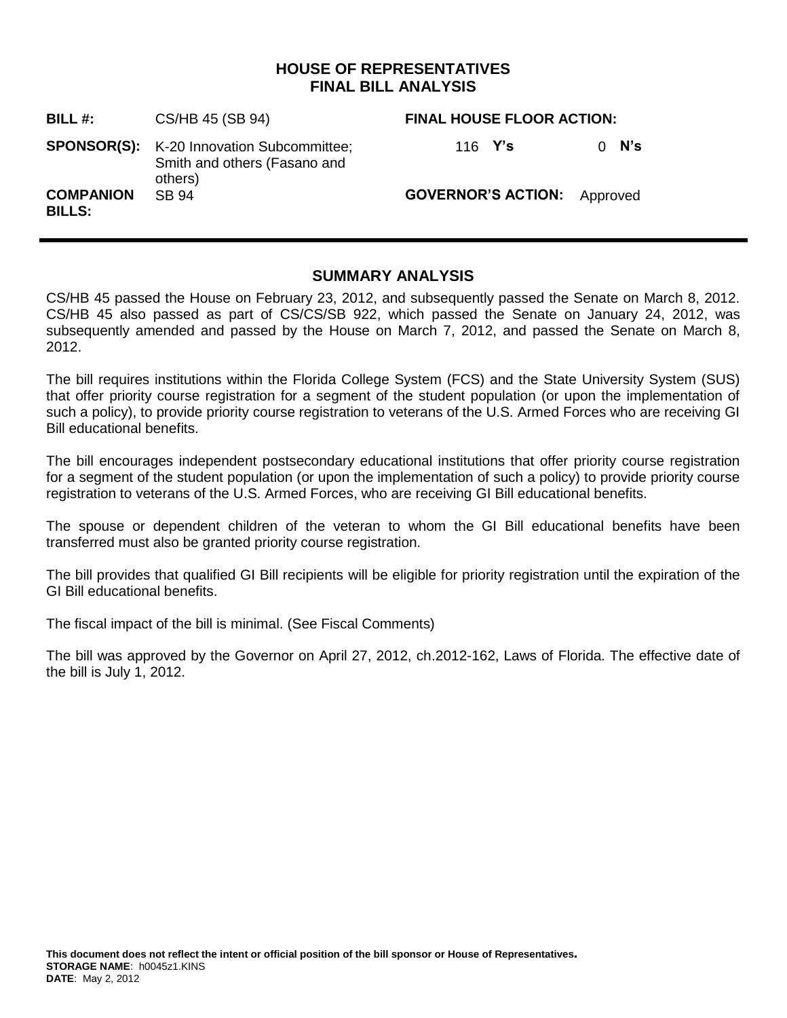# **HOUSE OF REPRESENTATIVES FINAL BILL ANALYSIS**

| <b>BILL #:</b>                    | CS/HB 45 (SB 94)                                                                            | <b>FINAL HOUSE FLOOR ACTION:</b>   |                 |
|-----------------------------------|---------------------------------------------------------------------------------------------|------------------------------------|-----------------|
|                                   | <b>SPONSOR(S):</b> K-20 Innovation Subcommittee;<br>Smith and others (Fasano and<br>others) | 116 $Y's$                          | N's<br>$\Omega$ |
| <b>COMPANION</b><br><b>BILLS:</b> | SB 94                                                                                       | <b>GOVERNOR'S ACTION:</b> Approved |                 |

# **SUMMARY ANALYSIS**

CS/HB 45 passed the House on February 23, 2012, and subsequently passed the Senate on March 8, 2012. CS/HB 45 also passed as part of CS/CS/SB 922, which passed the Senate on January 24, 2012, was subsequently amended and passed by the House on March 7, 2012, and passed the Senate on March 8, 2012.

The bill requires institutions within the Florida College System (FCS) and the State University System (SUS) that offer priority course registration for a segment of the student population (or upon the implementation of such a policy), to provide priority course registration to veterans of the U.S. Armed Forces who are receiving GI Bill educational benefits.

The bill encourages independent postsecondary educational institutions that offer priority course registration for a segment of the student population (or upon the implementation of such a policy) to provide priority course registration to veterans of the U.S. Armed Forces, who are receiving GI Bill educational benefits.

The spouse or dependent children of the veteran to whom the GI Bill educational benefits have been transferred must also be granted priority course registration.

The bill provides that qualified GI Bill recipients will be eligible for priority registration until the expiration of the GI Bill educational benefits.

The fiscal impact of the bill is minimal. (See Fiscal Comments)

The bill was approved by the Governor on April 27, 2012, ch.2012-162, Laws of Florida. The effective date of the bill is July 1, 2012.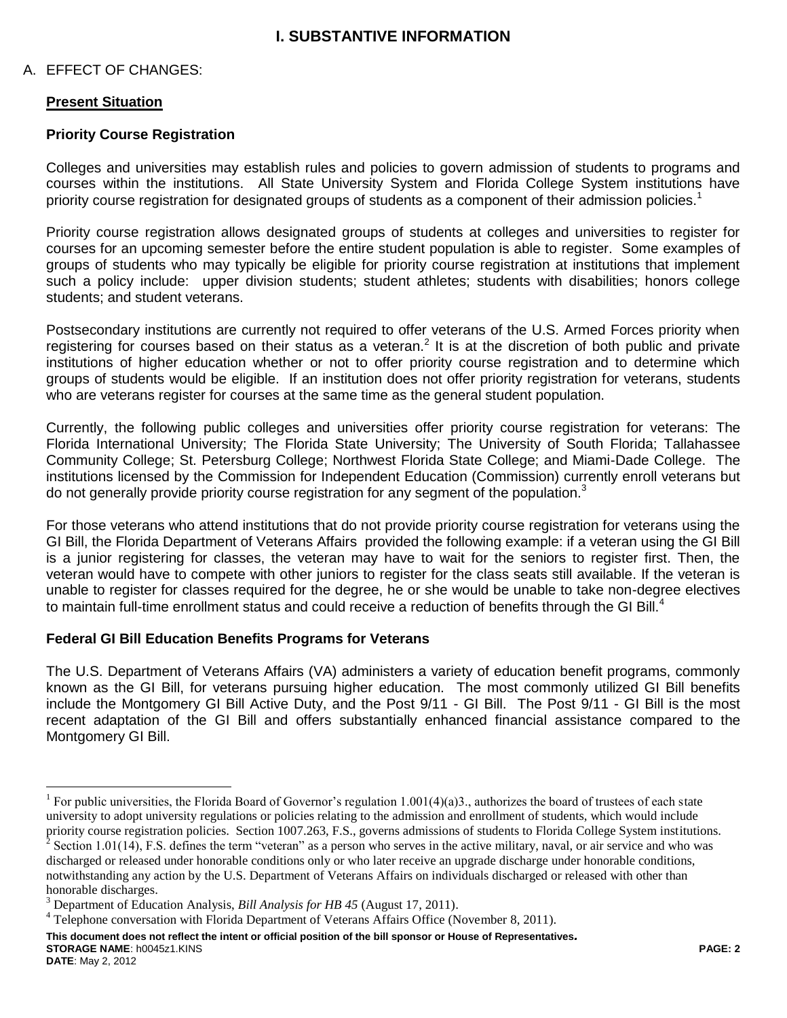# **I. SUBSTANTIVE INFORMATION**

#### A. EFFECT OF CHANGES:

#### **Present Situation**

#### **Priority Course Registration**

Colleges and universities may establish rules and policies to govern admission of students to programs and courses within the institutions. All State University System and Florida College System institutions have priority course registration for designated groups of students as a component of their admission policies.<sup>1</sup>

Priority course registration allows designated groups of students at colleges and universities to register for courses for an upcoming semester before the entire student population is able to register. Some examples of groups of students who may typically be eligible for priority course registration at institutions that implement such a policy include: upper division students; student athletes; students with disabilities; honors college students; and student veterans.

Postsecondary institutions are currently not required to offer veterans of the U.S. Armed Forces priority when registering for courses based on their status as a veteran.<sup>2</sup> It is at the discretion of both public and private institutions of higher education whether or not to offer priority course registration and to determine which groups of students would be eligible. If an institution does not offer priority registration for veterans, students who are veterans register for courses at the same time as the general student population.

Currently, the following public colleges and universities offer priority course registration for veterans: The Florida International University; The Florida State University; The University of South Florida; Tallahassee Community College; St. Petersburg College; Northwest Florida State College; and Miami-Dade College. The institutions licensed by the Commission for Independent Education (Commission) currently enroll veterans but do not generally provide priority course registration for any segment of the population.<sup>3</sup>

For those veterans who attend institutions that do not provide priority course registration for veterans using the GI Bill, the Florida Department of Veterans Affairs provided the following example: if a veteran using the GI Bill is a junior registering for classes, the veteran may have to wait for the seniors to register first. Then, the veteran would have to compete with other juniors to register for the class seats still available. If the veteran is unable to register for classes required for the degree, he or she would be unable to take non-degree electives to maintain full-time enrollment status and could receive a reduction of benefits through the GI Bill.<sup>4</sup>

#### **Federal GI Bill Education Benefits Programs for Veterans**

The U.S. Department of Veterans Affairs (VA) administers a variety of education benefit programs, commonly known as the GI Bill, for veterans pursuing higher education. The most commonly utilized GI Bill benefits include the Montgomery GI Bill Active Duty, and the Post 9/11 - GI Bill. The Post 9/11 - GI Bill is the most recent adaptation of the GI Bill and offers substantially enhanced financial assistance compared to the Montgomery GI Bill.

**This document does not reflect the intent or official position of the bill sponsor or House of Representatives***.* **STORAGE NAME**: h0045z1.KINS **PAGE: 2**

 $\overline{a}$ 

<sup>&</sup>lt;sup>1</sup> For public universities, the Florida Board of Governor's regulation 1.001(4)(a)3., authorizes the board of trustees of each state university to adopt university regulations or policies relating to the admission and enrollment of students, which would include priority course registration policies. Section 1007.263, F.S., governs admissions of students to Florida College System institutions. <sup>2</sup> Section 1.01(14), F.S. defines the term "veteran" as a person who serves in the active military, naval, or air service and who was discharged or released under honorable conditions only or who later receive an upgrade discharge under honorable conditions, notwithstanding any action by the U.S. Department of Veterans Affairs on individuals discharged or released with other than honorable discharges.

<sup>3</sup> Department of Education Analysis, *Bill Analysis for HB 45* (August 17, 2011).

<sup>&</sup>lt;sup>4</sup> Telephone conversation with Florida Department of Veterans Affairs Office (November 8, 2011).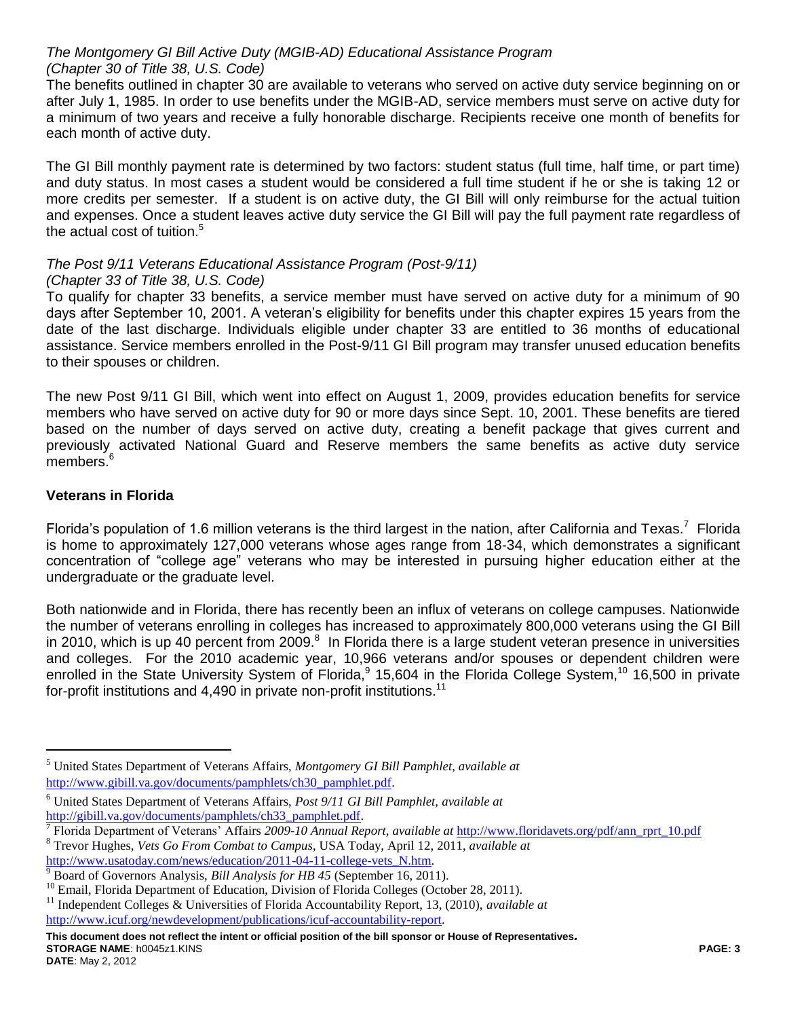### *The Montgomery GI Bill Active Duty (MGIB-AD) Educational Assistance Program (Chapter 30 of Title 38, U.S. Code)*

The benefits outlined in chapter 30 are available to veterans who served on active duty service beginning on or after July 1, 1985. In order to use benefits under the MGIB-AD, service members must serve on active duty for a minimum of two years and receive a fully honorable discharge. Recipients receive one month of benefits for each month of active duty.

The GI Bill monthly payment rate is determined by two factors: student status (full time, half time, or part time) and duty status. In most cases a student would be considered a full time student if he or she is taking 12 or more credits per semester. If a student is on active duty, the GI Bill will only reimburse for the actual tuition and expenses. Once a student leaves active duty service the GI Bill will pay the full payment rate regardless of the actual cost of tuition.<sup>5</sup>

# *The Post 9/11 Veterans Educational Assistance Program (Post-9/11) (Chapter 33 of Title 38, U.S. Code)*

To qualify for chapter 33 benefits, a service member must have served on active duty for a minimum of 90 days after September 10, 2001. A veteran's eligibility for benefits under this chapter expires 15 years from the date of the last discharge. Individuals eligible under chapter 33 are entitled to 36 months of educational assistance. Service members enrolled in the Post-9/11 GI Bill program may transfer unused education benefits to their spouses or children.

The new Post 9/11 GI Bill, which went into effect on August 1, 2009, provides education benefits for service members who have served on active duty for 90 or more days since Sept. 10, 2001. These benefits are tiered based on the number of days served on active duty, creating a benefit package that gives current and previously activated National Guard and Reserve members the same benefits as active duty service members. $6\overline{6}$ 

# **Veterans in Florida**

Florida's population of 1.6 million veterans is the third largest in the nation, after California and Texas.<sup>7</sup> Florida is home to approximately 127,000 veterans whose ages range from 18-34, which demonstrates a significant concentration of "college age" veterans who may be interested in pursuing higher education either at the undergraduate or the graduate level.

Both nationwide and in Florida, there has recently been an influx of veterans on college campuses. Nationwide the number of veterans enrolling in colleges has increased to approximately 800,000 veterans using the GI Bill in 2010, which is up 40 percent from 2009. $8$  In Florida there is a large student veteran presence in universities and colleges. For the 2010 academic year, 10,966 veterans and/or spouses or dependent children were enrolled in the State University System of Florida,<sup>9</sup> 15,604 in the Florida College System,<sup>10</sup> 16,500 in private for-profit institutions and 4,490 in private non-profit institutions.<sup>11</sup>

**This document does not reflect the intent or official position of the bill sponsor or House of Representatives***.* **STORAGE NAME**: h0045z1.KINS **PAGE: 3**

 $\overline{a}$ 

<sup>5</sup> United States Department of Veterans Affairs, *Montgomery GI Bill Pamphlet, available at* [http://www.gibill.va.gov/documents/pamphlets/ch30\\_pamphlet.pdf.](http://www.gibill.va.gov/documents/pamphlets/ch30_pamphlet.pdf)

<sup>6</sup> United States Department of Veterans Affairs, *Post 9/11 GI Bill Pamphlet, available at*  [http://gibill.va.gov/documents/pamphlets/ch33\\_pamphlet.pdf.](http://gibill.va.gov/documents/pamphlets/ch33_pamphlet.pdf)

<sup>7</sup> Florida Department of Veterans' Affairs *2009-10 Annual Report*, *available at* [http://www.floridavets.org/pdf/ann\\_rprt\\_10.pdf](http://www.floridavets.org/pdf/ann_rprt_10.pdf) <sup>8</sup> Trevor Hughes, *Vets Go From Combat to Campus*, USA Today, April 12, 2011, *available at* [http://www.usatoday.com/news/education/2011-04-11-college-vets\\_N.htm.](http://www.usatoday.com/news/education/2011-04-11-college-vets_N.htm)

<sup>9</sup> Board of Governors Analysis, *Bill Analysis for HB 45* (September 16, 2011).

 $10$  Email, Florida Department of Education, Division of Florida Colleges (October 28, 2011).

<sup>11</sup> Independent Colleges & Universities of Florida Accountability Report, 13, (2010), *available at* [http://www.icuf.org/newdevelopment/publications/icuf-accountability-report.](http://www.icuf.org/newdevelopment/publications/icuf-accountability-report)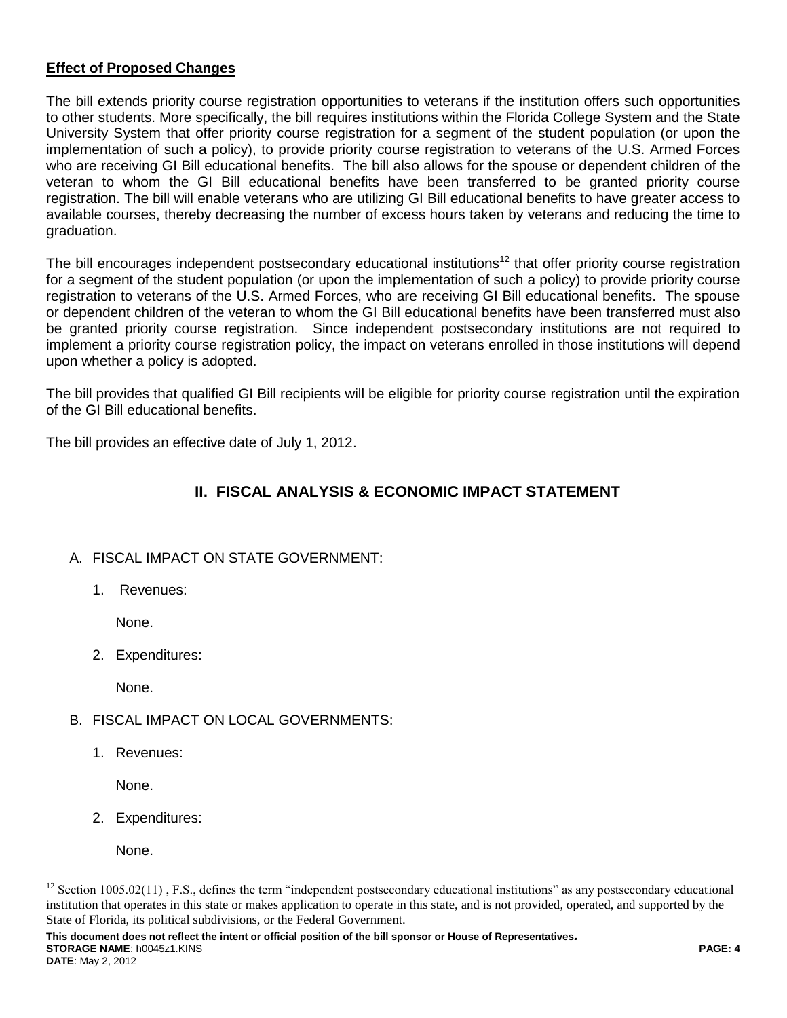# **Effect of Proposed Changes**

The bill extends priority course registration opportunities to veterans if the institution offers such opportunities to other students. More specifically, the bill requires institutions within the Florida College System and the State University System that offer priority course registration for a segment of the student population (or upon the implementation of such a policy), to provide priority course registration to veterans of the U.S. Armed Forces who are receiving GI Bill educational benefits. The bill also allows for the spouse or dependent children of the veteran to whom the GI Bill educational benefits have been transferred to be granted priority course registration. The bill will enable veterans who are utilizing GI Bill educational benefits to have greater access to available courses, thereby decreasing the number of excess hours taken by veterans and reducing the time to graduation.

The bill encourages independent postsecondary educational institutions<sup>12</sup> that offer priority course registration for a segment of the student population (or upon the implementation of such a policy) to provide priority course registration to veterans of the U.S. Armed Forces, who are receiving GI Bill educational benefits. The spouse or dependent children of the veteran to whom the GI Bill educational benefits have been transferred must also be granted priority course registration. Since independent postsecondary institutions are not required to implement a priority course registration policy, the impact on veterans enrolled in those institutions will depend upon whether a policy is adopted.

The bill provides that qualified GI Bill recipients will be eligible for priority course registration until the expiration of the GI Bill educational benefits.

The bill provides an effective date of July 1, 2012.

# **II. FISCAL ANALYSIS & ECONOMIC IMPACT STATEMENT**

## A. FISCAL IMPACT ON STATE GOVERNMENT:

1. Revenues:

None.

2. Expenditures:

None.

- B. FISCAL IMPACT ON LOCAL GOVERNMENTS:
	- 1. Revenues:

None.

2. Expenditures:

None.

 $\overline{a}$ 

**This document does not reflect the intent or official position of the bill sponsor or House of Representatives***.* **STORAGE NAME**: h0045z1.KINS **PAGE: 4 DATE**: May 2, 2012

 $12$  Section 1005.02(11), F.S., defines the term "independent postsecondary educational institutions" as any postsecondary educational institution that operates in this state or makes application to operate in this state, and is not provided, operated, and supported by the State of Florida, its political subdivisions, or the Federal Government.